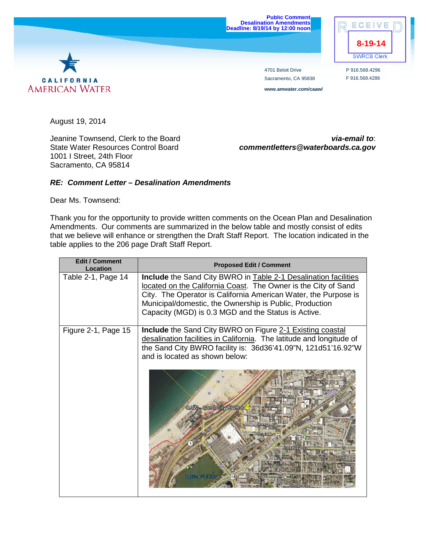

CALIFORNIA **AMERICAN WATER** 

4701 Beloit Drive Sacramento, CA 95838 **www.amwater.com/caaw/**

P 916.568.4296 F 916.568.4286

August 19, 2014

1001 I Street, 24th Floor Sacramento, CA 95814

Jeanine Townsend, Clerk to the Board *via-email to*: State Water Resources Control Board *commentletters@waterboards.ca.gov*

## *RE: Comment Letter – Desalination Amendments*

Dear Ms. Townsend:

Thank you for the opportunity to provide written comments on the Ocean Plan and Desalination Amendments. Our comments are summarized in the below table and mostly consist of edits that we believe will enhance or strengthen the Draft Staff Report. The location indicated in the table applies to the 206 page Draft Staff Report.

| <b>Edit / Comment</b><br>Location | <b>Proposed Edit / Comment</b>                                                                                                                                                                                                                                                                                         |
|-----------------------------------|------------------------------------------------------------------------------------------------------------------------------------------------------------------------------------------------------------------------------------------------------------------------------------------------------------------------|
| Table 2-1, Page 14                | Include the Sand City BWRO in Table 2-1 Desalination facilities<br>located on the California Coast. The Owner is the City of Sand<br>City. The Operator is California American Water, the Purpose is<br>Municipal/domestic, the Ownership is Public, Production<br>Capacity (MGD) is 0.3 MGD and the Status is Active. |
| Figure 2-1, Page 15               | <b>Include</b> the Sand City BWRO on Figure 2-1 Existing coastal<br>desalination facilities in California. The latitude and longitude of<br>the Sand City BWRO facility is: 36d36'41.09"N, 121d51'16.92"W<br>and is located as shown below:                                                                            |
|                                   | <b>CAW-Sand City BWRO</b><br>Laguna Del Re                                                                                                                                                                                                                                                                             |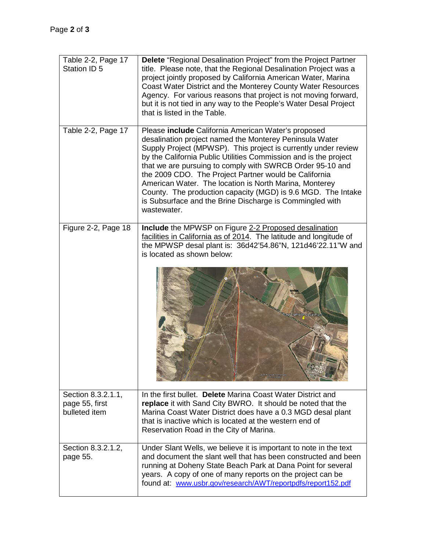| Table 2-2, Page 17<br>Station ID 5                    | Delete "Regional Desalination Project" from the Project Partner<br>title. Please note, that the Regional Desalination Project was a<br>project jointly proposed by California American Water, Marina<br>Coast Water District and the Monterey County Water Resources<br>Agency. For various reasons that project is not moving forward,<br>but it is not tied in any way to the People's Water Desal Project<br>that is listed in the Table.                                                                                                                                    |
|-------------------------------------------------------|---------------------------------------------------------------------------------------------------------------------------------------------------------------------------------------------------------------------------------------------------------------------------------------------------------------------------------------------------------------------------------------------------------------------------------------------------------------------------------------------------------------------------------------------------------------------------------|
| Table 2-2, Page 17                                    | Please include California American Water's proposed<br>desalination project named the Monterey Peninsula Water<br>Supply Project (MPWSP). This project is currently under review<br>by the California Public Utilities Commission and is the project<br>that we are pursuing to comply with SWRCB Order 95-10 and<br>the 2009 CDO. The Project Partner would be California<br>American Water. The location is North Marina, Monterey<br>County. The production capacity (MGD) is 9.6 MGD. The Intake<br>is Subsurface and the Brine Discharge is Commingled with<br>wastewater. |
| Figure 2-2, Page 18                                   | Include the MPWSP on Figure 2-2 Proposed desalination<br>facilities in California as of 2014. The latitude and longitude of<br>the MPWSP desal plant is: 36d42'54.86"N, 121d46'22.11"W and<br>is located as shown below:                                                                                                                                                                                                                                                                                                                                                        |
| Section 8.3.2.1.1,<br>page 55, first<br>bulleted item | In the first bullet. Delete Marina Coast Water District and<br>replace it with Sand City BWRO. It should be noted that the<br>Marina Coast Water District does have a 0.3 MGD desal plant<br>that is inactive which is located at the western end of<br>Reservation Road in the City of Marina.                                                                                                                                                                                                                                                                                 |
| Section 8.3.2.1.2,<br>page 55.                        | Under Slant Wells, we believe it is important to note in the text<br>and document the slant well that has been constructed and been<br>running at Doheny State Beach Park at Dana Point for several<br>years. A copy of one of many reports on the project can be<br>found at: www.usbr.gov/research/AWT/reportpdfs/report152.pdf                                                                                                                                                                                                                                               |